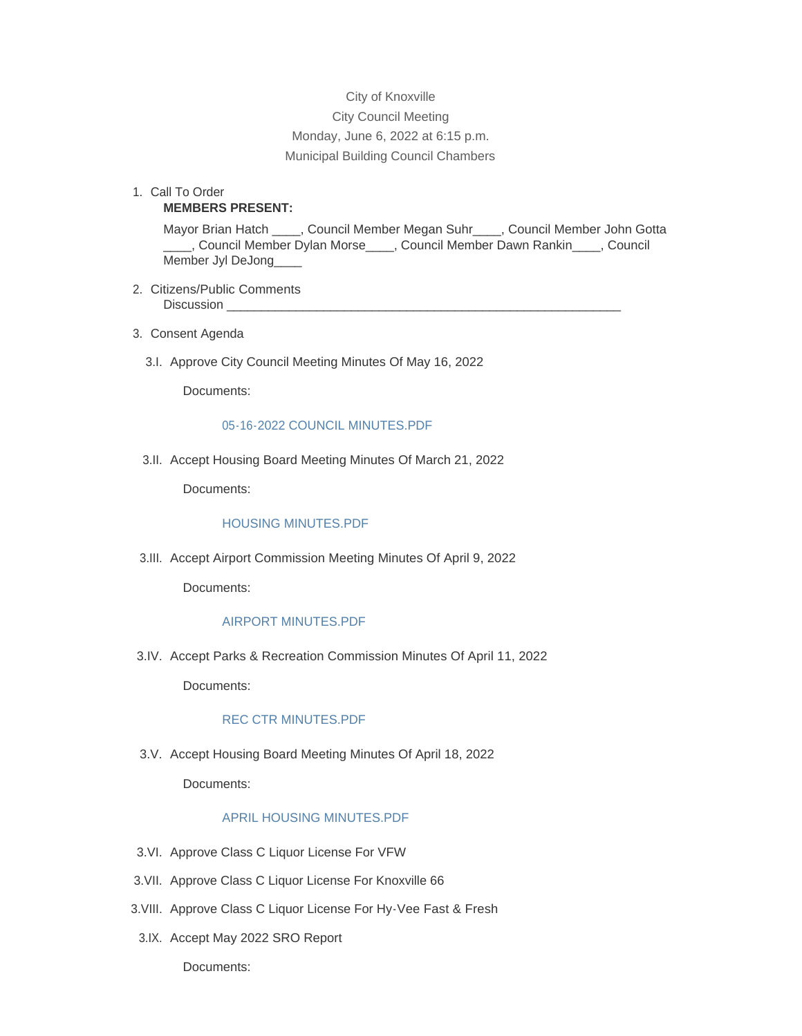# City of Knoxville City Council Meeting Monday, June 6, 2022 at 6:15 p.m. Municipal Building Council Chambers

1. Call To Order **MEMBERS PRESENT:**

> Mayor Brian Hatch \_\_\_\_, Council Member Megan Suhr\_\_\_\_, Council Member John Gotta \_\_\_\_, Council Member Dylan Morse\_\_\_\_, Council Member Dawn Rankin\_\_\_\_, Council Member Jyl DeJong\_\_\_\_

- 2. Citizens/Public Comments Discussion
- Consent Agenda 3.
	- 3.I. Approve City Council Meeting Minutes Of May 16, 2022

Documents:

#### [05-16-2022 COUNCIL MINUTES.PDF](http://www.knoxvilleia.gov/AgendaCenter/ViewFile/Item/5496?fileID=4462)

3.II. Accept Housing Board Meeting Minutes Of March 21, 2022

Documents:

#### [HOUSING MINUTES.PDF](http://www.knoxvilleia.gov/AgendaCenter/ViewFile/Item/5494?fileID=4460)

3.III. Accept Airport Commission Meeting Minutes Of April 9, 2022

Documents:

#### [AIRPORT MINUTES.PDF](http://www.knoxvilleia.gov/AgendaCenter/ViewFile/Item/5498?fileID=4465)

3.IV. Accept Parks & Recreation Commission Minutes Of April 11, 2022

Documents:

# [REC CTR MINUTES.PDF](http://www.knoxvilleia.gov/AgendaCenter/ViewFile/Item/5497?fileID=4463)

3.V. Accept Housing Board Meeting Minutes Of April 18, 2022

Documents:

### [APRIL HOUSING MINUTES.PDF](http://www.knoxvilleia.gov/AgendaCenter/ViewFile/Item/5495?fileID=4461)

- 3.VI. Approve Class C Liquor License For VFW
- 3.VII. Approve Class C Liquor License For Knoxville 66
- 3. VIII. Approve Class C Liquor License For Hy-Vee Fast & Fresh
- 3.IX. Accept May 2022 SRO Report

Documents: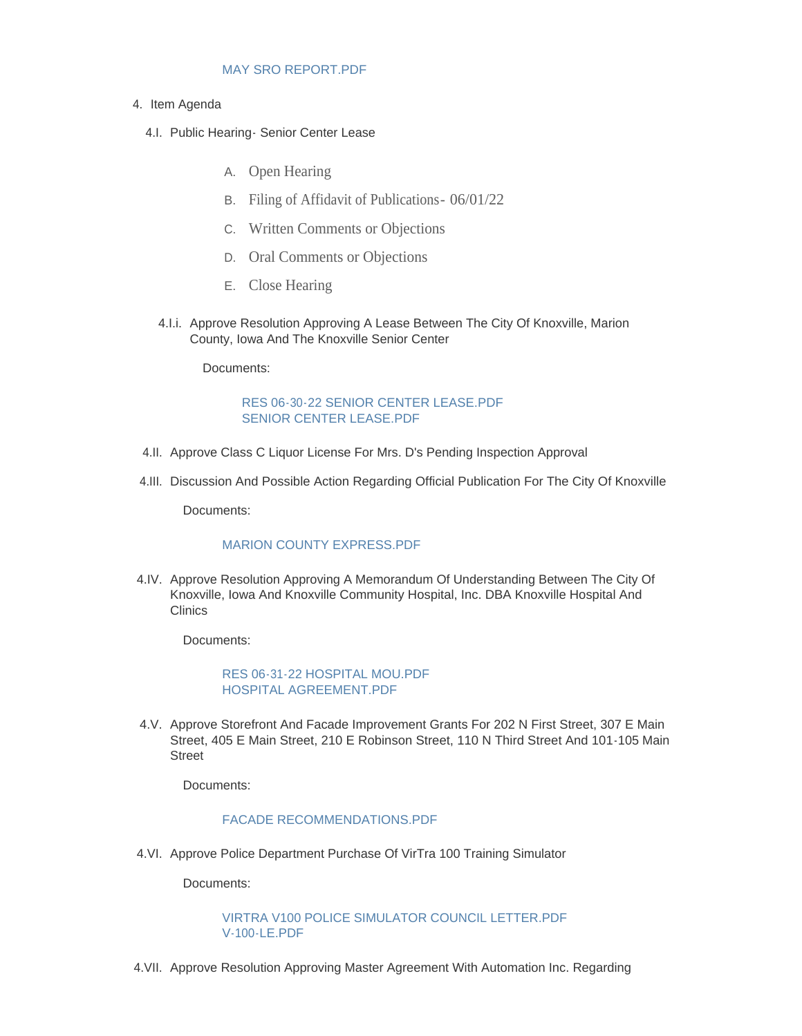#### [MAY SRO REPORT.PDF](http://www.knoxvilleia.gov/AgendaCenter/ViewFile/Item/5507?fileID=4468)

- 4. Item Agenda
	- 4.I. Public Hearing Senior Center Lease
		- A. Open Hearing
		- B. Filing of Affidavit of Publications- 06/01/22
		- C. Written Comments or Objections
		- D. Oral Comments or Objections
		- E. Close Hearing
		- 4.I.i. Approve Resolution Approving A Lease Between The City Of Knoxville, Marion County, Iowa And The Knoxville Senior Center

Documents:

# [RES 06-30-22 SENIOR CENTER LEASE.PDF](http://www.knoxvilleia.gov/AgendaCenter/ViewFile/Item/5492?fileID=4459) [SENIOR CENTER LEASE.PDF](http://www.knoxvilleia.gov/AgendaCenter/ViewFile/Item/5492?fileID=4473)

- 4.II. Approve Class C Liquor License For Mrs. D's Pending Inspection Approval
- 4.III. Discussion And Possible Action Regarding Official Publication For The City Of Knoxville

Documents:

### [MARION COUNTY EXPRESS.PDF](http://www.knoxvilleia.gov/AgendaCenter/ViewFile/Item/5506?fileID=4467)

4.IV. Approve Resolution Approving A Memorandum Of Understanding Between The City Of Knoxville, Iowa And Knoxville Community Hospital, Inc. DBA Knoxville Hospital And **Clinics** 

Documents:

### [RES 06-31-22 HOSPITAL MOU.PDF](http://www.knoxvilleia.gov/AgendaCenter/ViewFile/Item/5509?fileID=4469) [HOSPITAL AGREEMENT.PDF](http://www.knoxvilleia.gov/AgendaCenter/ViewFile/Item/5509?fileID=4470)

4.V. Approve Storefront And Facade Improvement Grants For 202 N First Street, 307 E Main Street, 405 E Main Street, 210 E Robinson Street, 110 N Third Street And 101-105 Main **Street** 

Documents:

# [FACADE RECOMMENDATIONS.PDF](http://www.knoxvilleia.gov/AgendaCenter/ViewFile/Item/5499?fileID=4466)

4.VI. Approve Police Department Purchase Of VirTra 100 Training Simulator

Documents:

[VIRTRA V100 POLICE SIMULATOR COUNCIL LETTER.PDF](http://www.knoxvilleia.gov/AgendaCenter/ViewFile/Item/5510?fileID=4471) [V-100-LE.PDF](http://www.knoxvilleia.gov/AgendaCenter/ViewFile/Item/5510?fileID=4472)

4. VII. Approve Resolution Approving Master Agreement With Automation Inc. Regarding